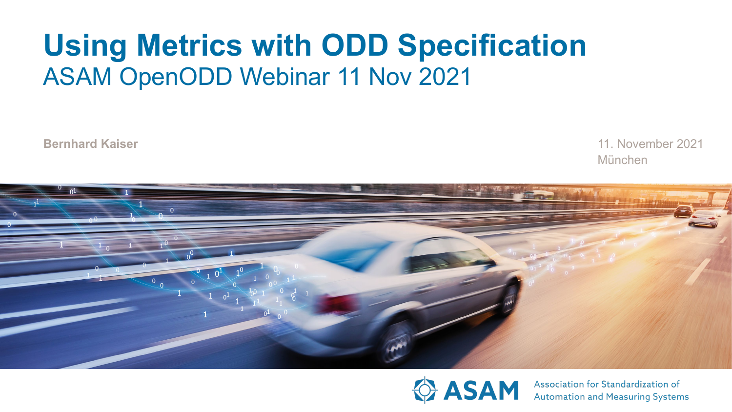# **Using Metrics with ODD Specification** ASAM OpenODD Webinar 11 Nov 2021

**Bernhard Kaiser**

München 11. November 2021





Association for Standardization of **Automation and Measuring Systems**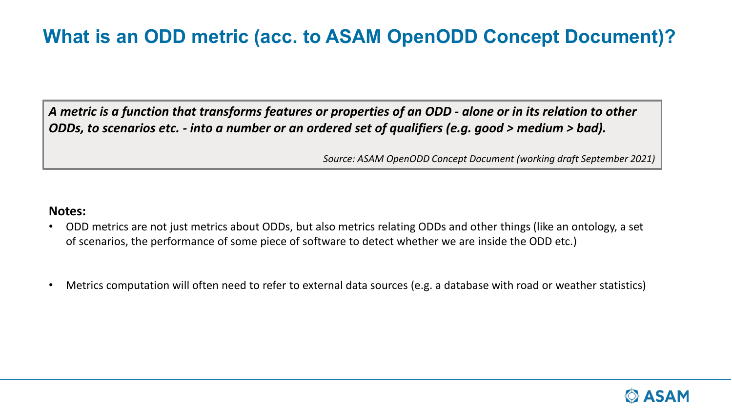# **What is an ODD metric (acc. to ASAM OpenODD Concept Document)?**

*A metric is a function that transforms features or properties of an ODD - alone or in its relation to other ODDs, to scenarios etc. - into a number or an ordered set of qualifiers (e.g. good > medium > bad).*

*Source: ASAM OpenODD Concept Document (working draft September 2021)*

#### **Notes:**

- ODD metrics are not just metrics about ODDs, but also metrics relating ODDs and other things (like an ontology, a set of scenarios, the performance of some piece of software to detect whether we are inside the ODD etc.)
- Metrics computation will often need to refer to external data sources (e.g. a database with road or weather statistics)

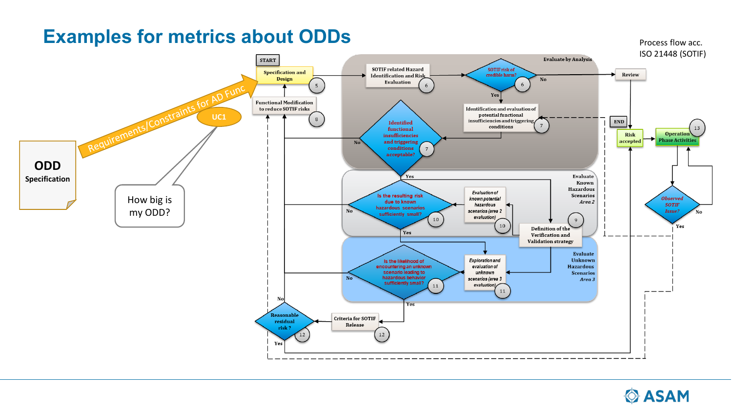### **Examples for metrics about ODDs**



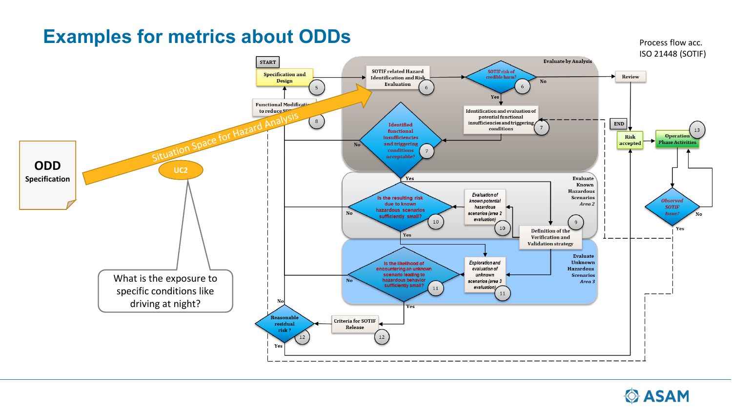### **Examples for metrics about ODDs**





Process flow acc.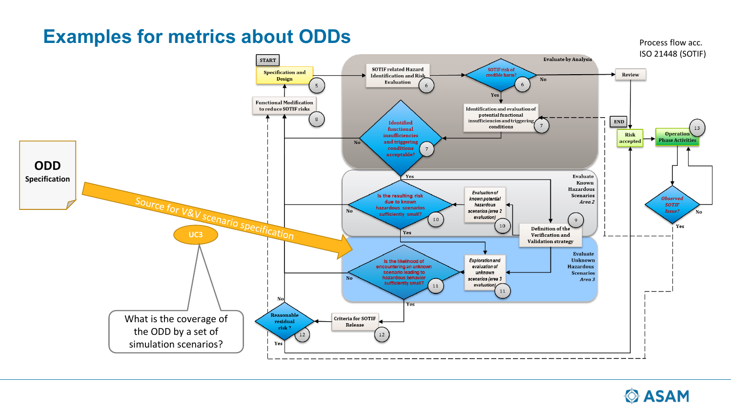# **Examples for metrics about ODDs**





Process flow acc.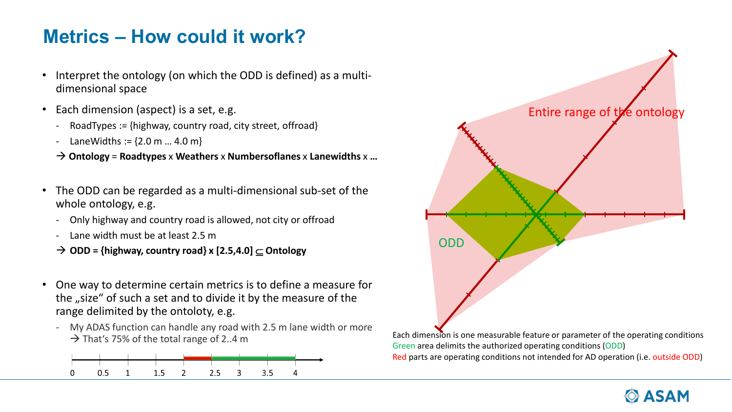### **Metrics – How could it work?**

- Interpret the ontology (on which the ODD is defined) as a multidimensional space
- Each dimension (aspect) is a set, e.g.
	- RoadTypes := {highway, country road, city street, offroad}
	- LaneWidths :=  $\{2.0 \text{ m} ... 4.0 \text{ m}\}\$

**Ontology** = **Roadtypes** x **Weathers** x **Numbersoflanes** x **Lanewidths** x **…**

- The ODD can be regarded as a multi-dimensional sub-set of the whole ontology, e.g.
	- Only highway and country road is allowed, not city or offroad
	- Lane width must be at least 2.5 m
	- **ODD = {highway, country road} x [2.5,4.0]** ⊆ **Ontology**
- One way to determine certain metrics is to define a measure for the "size" of such a set and to divide it by the measure of the range delimited by the ontoloty, e.g.
	- My ADAS function can handle any road with 2.5 m lane width or more That's 75% of the total range of 2..4 m Each dimension is one measurable feature or parameter of the operating conditions





Green area delimits the authorized operating conditions (ODD) Red parts are operating conditions not intended for AD operation (i.e. outside ODD)

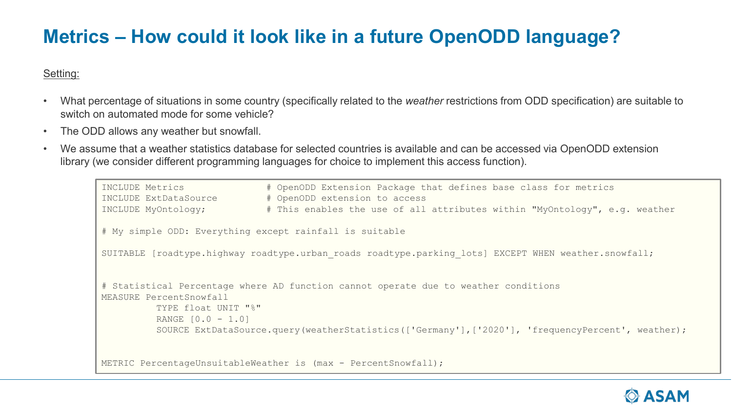# **Metrics – How could it look like in a future OpenODD language?**

#### Setting:

- What percentage of situations in some country (specifically related to the *weather* restrictions from ODD specification) are suitable to switch on automated mode for some vehicle?
- The ODD allows any weather but snowfall.
- We assume that a weather statistics database for selected countries is available and can be accessed via OpenODD extension library (we consider different programming languages for choice to implement this access function).

```
INCLUDE Metrics # OpenODD Extension Package that defines base class for metrics
INCLUDE ExtDataSource # OpenODD extension to access
INCLUDE MyOntology; # This enables the use of all attributes within "MyOntology", e.g. weather
# My simple ODD: Everything except rainfall is suitable
SUITABLE [roadtype.highway roadtype.urban roads roadtype.parking lots] EXCEPT WHEN weather.snowfall;
# Statistical Percentage where AD function cannot operate due to weather conditions
MEASURE PercentSnowfall
         TYPE float UNIT "%"
         RANGE [0.0 - 1.0]
         SOURCE ExtDataSource.query(weatherStatistics(['Germany'],['2020'], 'frequencyPercent', weather);
METRIC PercentageUnsuitableWeather is (max - PercentSnowfall);
```